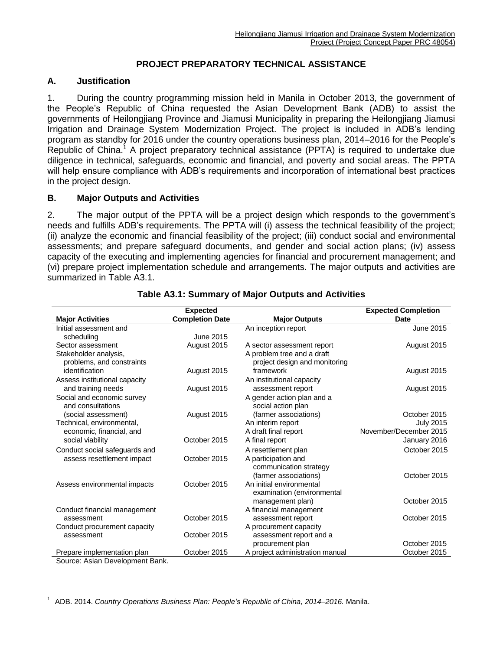## **PROJECT PREPARATORY TECHNICAL ASSISTANCE**

#### **A. Justification**

1. During the country programming mission held in Manila in October 2013, the government of the People's Republic of China requested the Asian Development Bank (ADB) to assist the governments of Heilongjiang Province and Jiamusi Municipality in preparing the Heilongjiang Jiamusi Irrigation and Drainage System Modernization Project. The project is included in ADB's lending program as standby for 2016 under the country operations business plan, 2014–2016 for the People's Republic of China.<sup>1</sup> A project preparatory technical assistance (PPTA) is required to undertake due diligence in technical, safeguards, economic and financial, and poverty and social areas. The PPTA will help ensure compliance with ADB's requirements and incorporation of international best practices in the project design.

#### **B. Major Outputs and Activities**

2. The major output of the PPTA will be a project design which responds to the government's needs and fulfills ADB's requirements. The PPTA will (i) assess the technical feasibility of the project; (ii) analyze the economic and financial feasibility of the project; (iii) conduct social and environmental assessments; and prepare safeguard documents, and gender and social action plans; (iv) assess capacity of the executing and implementing agencies for financial and procurement management; and (vi) prepare project implementation schedule and arrangements. The major outputs and activities are summarized in Table A3.1.

|                                | <b>Expected</b>        |                                 | <b>Expected Completion</b> |
|--------------------------------|------------------------|---------------------------------|----------------------------|
| <b>Major Activities</b>        | <b>Completion Date</b> | <b>Major Outputs</b>            | <b>Date</b>                |
| Initial assessment and         |                        | An inception report             | June 2015                  |
| scheduling                     | June 2015              |                                 |                            |
| Sector assessment              | August 2015            | A sector assessment report      | August 2015                |
| Stakeholder analysis,          |                        | A problem tree and a draft      |                            |
| problems, and constraints      |                        | project design and monitoring   |                            |
| identification                 | August 2015            | framework                       | August 2015                |
| Assess institutional capacity  |                        | An institutional capacity       |                            |
| and training needs             | August 2015            | assessment report               | August 2015                |
| Social and economic survey     |                        | A gender action plan and a      |                            |
| and consultations              |                        | social action plan              |                            |
| (social assessment)            | August 2015            | (farmer associations)           | October 2015               |
| Technical, environmental,      |                        | An interim report               | <b>July 2015</b>           |
| economic, financial, and       |                        | A draft final report            | November/December 2015     |
| social viability               | October 2015           | A final report                  | January 2016               |
| Conduct social safeguards and  |                        | A resettlement plan             | October 2015               |
| assess resettlement impact     | October 2015           | A participation and             |                            |
|                                |                        | communication strategy          |                            |
|                                |                        | (farmer associations)           | October 2015               |
| Assess environmental impacts   | October 2015           | An initial environmental        |                            |
|                                |                        | examination (environmental      |                            |
|                                |                        | management plan)                | October 2015               |
| Conduct financial management   |                        | A financial management          |                            |
| assessment                     | October 2015           | assessment report               | October 2015               |
| Conduct procurement capacity   |                        | A procurement capacity          |                            |
| assessment                     | October 2015           | assessment report and a         |                            |
|                                |                        | procurement plan                | October 2015               |
| Prepare implementation plan    | October 2015           | A project administration manual | October 2015               |
| Source: Asian Development Rank |                        |                                 |                            |

#### **Table A3.1: Summary of Major Outputs and Activities**

Source: Asian Development Bank.

 1 ADB. 2014. *Country Operations Business Plan: People's Republic of China, 2014–2016.* Manila.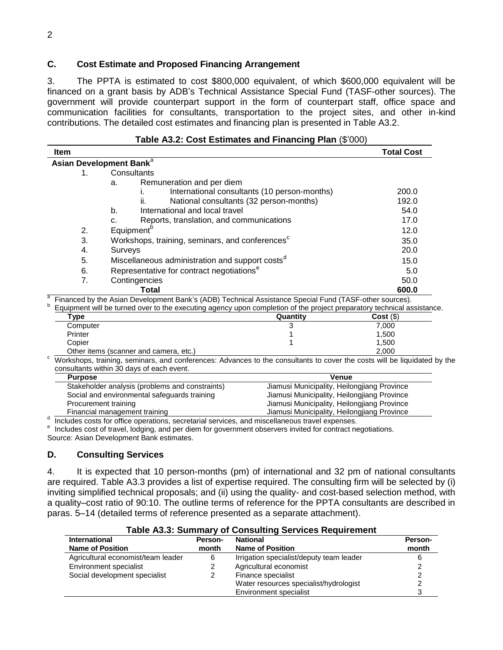## **C. Cost Estimate and Proposed Financing Arrangement**

3. The PPTA is estimated to cost \$800,000 equivalent, of which \$600,000 equivalent will be financed on a grant basis by ADB's Technical Assistance Special Fund (TASF-other sources). The government will provide counterpart support in the form of counterpart staff, office space and communication facilities for consultants, transportation to the project sites, and other in-kind contributions. The detailed cost estimates and financing plan is presented in Table A3.2.

| <b>Item</b> |                                                             | <b>Total Cost</b> |
|-------------|-------------------------------------------------------------|-------------------|
|             | Asian Development Bank <sup>a</sup>                         |                   |
| 1.          | Consultants                                                 |                   |
|             | Remuneration and per diem<br>a.                             |                   |
|             | International consultants (10 person-months)                | 200.0             |
|             | National consultants (32 person-months)<br>Îİ.              | 192.0             |
|             | b.<br>International and local travel                        | 54.0              |
|             | Reports, translation, and communications<br>c.              | 17.0              |
| 2.          | Equipment <sup>o</sup>                                      | 12.0              |
| 3.          | Workshops, training, seminars, and conferences <sup>c</sup> | 35.0              |
| 4.          | Surveys                                                     | 20.0              |
| 5.          | Miscellaneous administration and support costs <sup>a</sup> | 15.0              |
| 6.          | Representative for contract negotiations <sup>e</sup>       | 5.0               |
| 7.          | Contingencies                                               | 50.0              |
|             | Total                                                       | 600.0             |

| Equipment will be turned over to the executing agency upon completion of the project preparatory technical assistance. |          |         |
|------------------------------------------------------------------------------------------------------------------------|----------|---------|
| Type                                                                                                                   | Quantity | Cost(S) |
| Computer                                                                                                               |          | 7.000   |
| Printer                                                                                                                |          | 1.500   |
| Copier                                                                                                                 |          | 1.500   |
| Other items (scanner and camera, etc.)                                                                                 |          | 2.000   |

 $\degree$  Workshops, training, seminars, and conferences: Advances to the consultants to cover the costs will be liquidated by the consultants within 30 days of each event.

| <b>Purpose</b>                                                                                 |                                                 | <b>Venue</b>                                |  |
|------------------------------------------------------------------------------------------------|-------------------------------------------------|---------------------------------------------|--|
|                                                                                                | Stakeholder analysis (problems and constraints) | Jiamusi Municipality, Heilongjiang Province |  |
|                                                                                                | Social and environmental safeguards training    | Jiamusi Municipality, Heilongjiang Province |  |
| Procurement training                                                                           |                                                 | Jiamusi Municipality, Heilongjiang Province |  |
| Financial management training                                                                  |                                                 | Jiamusi Municipality, Heilongjiang Province |  |
| Includes costs for office operations, secretarial services, and miscellaneous travel expenses. |                                                 |                                             |  |

<sup>e</sup> Includes cost of travel, lodging, and per diem for government observers invited for contract negotiations. Source: Asian Development Bank estimates.

## **D. Consulting Services**

4. It is expected that 10 person-months (pm) of international and 32 pm of national consultants are required. Table A3.3 provides a list of expertise required. The consulting firm will be selected by (i) inviting simplified technical proposals; and (ii) using the quality- and cost-based selection method, with a quality–cost ratio of 90:10. The outline terms of reference for the PPTA consultants are described in paras. 5–14 (detailed terms of reference presented as a separate attachment).

| rable A3.3: Summary of Consulting Services Regulrement |         |                                          |         |
|--------------------------------------------------------|---------|------------------------------------------|---------|
| <b>International</b>                                   | Person- | <b>National</b>                          | Person- |
| <b>Name of Position</b>                                | month   | <b>Name of Position</b>                  | month   |
| Agricultural economist/team leader                     | 6       | Irrigation specialist/deputy team leader |         |
| Environment specialist                                 |         | Agricultural economist                   |         |
| Social development specialist                          |         | Finance specialist                       |         |
|                                                        |         | Water resources specialist/hydrologist   |         |
|                                                        |         | Environment specialist                   |         |

# **Table A3.3: Summary of Consulting Services Requirement**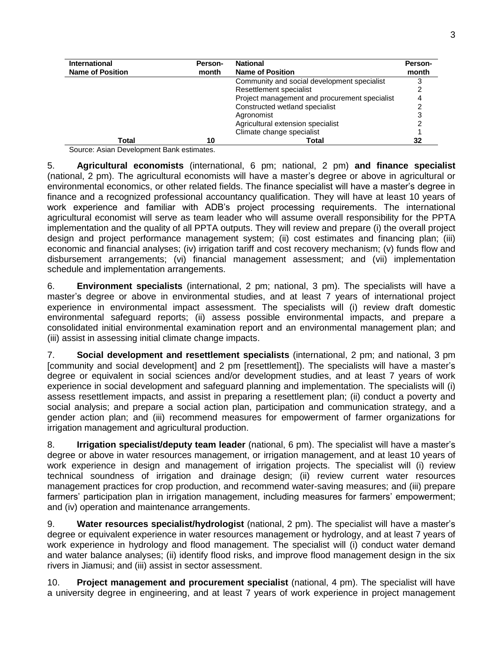| <b>International</b>    | Person- | <b>National</b>                               | Person- |
|-------------------------|---------|-----------------------------------------------|---------|
| <b>Name of Position</b> | month   | <b>Name of Position</b>                       | month   |
|                         |         | Community and social development specialist   | 3       |
|                         |         | Resettlement specialist                       |         |
|                         |         | Project management and procurement specialist |         |
|                         |         | Constructed wetland specialist                |         |
|                         |         | Agronomist                                    |         |
|                         |         | Agricultural extension specialist             |         |
|                         |         | Climate change specialist                     |         |
| Total                   | 10      | Total                                         | 32      |

Source: Asian Development Bank estimates.

5. **Agricultural economists** (international, 6 pm; national, 2 pm) **and finance specialist** (national, 2 pm). The agricultural economists will have a master's degree or above in agricultural or environmental economics, or other related fields. The finance specialist will have a master's degree in finance and a recognized professional accountancy qualification. They will have at least 10 years of work experience and familiar with ADB's project processing requirements. The international agricultural economist will serve as team leader who will assume overall responsibility for the PPTA implementation and the quality of all PPTA outputs. They will review and prepare (i) the overall project design and project performance management system; (ii) cost estimates and financing plan; (iii) economic and financial analyses; (iv) irrigation tariff and cost recovery mechanism; (v) funds flow and disbursement arrangements; (vi) financial management assessment; and (vii) implementation schedule and implementation arrangements.

6. **Environment specialists** (international, 2 pm; national, 3 pm). The specialists will have a master's degree or above in environmental studies, and at least 7 years of international project experience in environmental impact assessment. The specialists will (i) review draft domestic environmental safeguard reports; (ii) assess possible environmental impacts, and prepare a consolidated initial environmental examination report and an environmental management plan; and (iii) assist in assessing initial climate change impacts.

7. **Social development and resettlement specialists** (international, 2 pm; and national, 3 pm [community and social development] and 2 pm [resettlement]). The specialists will have a master's degree or equivalent in social sciences and/or development studies, and at least 7 years of work experience in social development and safeguard planning and implementation. The specialists will (i) assess resettlement impacts, and assist in preparing a resettlement plan; (ii) conduct a poverty and social analysis; and prepare a social action plan, participation and communication strategy, and a gender action plan; and (iii) recommend measures for empowerment of farmer organizations for irrigation management and agricultural production.

8. **Irrigation specialist/deputy team leader** (national, 6 pm). The specialist will have a master's degree or above in water resources management, or irrigation management, and at least 10 years of work experience in design and management of irrigation projects. The specialist will (i) review technical soundness of irrigation and drainage design; (ii) review current water resources management practices for crop production, and recommend water-saving measures; and (iii) prepare farmers' participation plan in irrigation management, including measures for farmers' empowerment; and (iv) operation and maintenance arrangements.

9. **Water resources specialist/hydrologist** (national, 2 pm). The specialist will have a master's degree or equivalent experience in water resources management or hydrology, and at least 7 years of work experience in hydrology and flood management. The specialist will (i) conduct water demand and water balance analyses; (ii) identify flood risks, and improve flood management design in the six rivers in Jiamusi; and (iii) assist in sector assessment.

10. **Project management and procurement specialist** (national, 4 pm). The specialist will have a university degree in engineering, and at least 7 years of work experience in project management